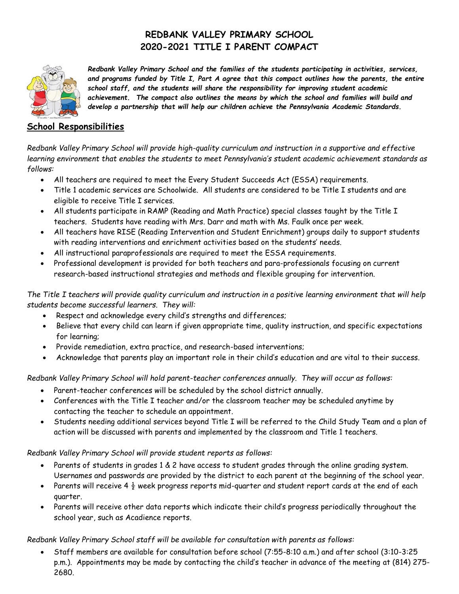## **REDBANK VALLEY PRIMARY SCHOOL 2020-2021 TITLE I PARENT COMPACT**



*Redbank Valley Primary School and the families of the students participating in activities, services, and programs funded by Title I, Part A agree that this compact outlines how the parents, the entire school staff, and the students will share the responsibility for improving student academic achievement. The compact also outlines the means by which the school and families will build and develop a partnership that will help our children achieve the Pennsylvania Academic Standards.*

### **School Responsibilities**

*Redbank Valley Primary School will provide high-quality curriculum and instruction in a supportive and effective learning environment that enables the students to meet Pennsylvania's student academic achievement standards as follows:*

- All teachers are required to meet the Every Student Succeeds Act (ESSA) requirements.
- Title 1 academic services are Schoolwide. All students are considered to be Title I students and are eligible to receive Title I services.
- All students participate in RAMP (Reading and Math Practice) special classes taught by the Title I teachers. Students have reading with Mrs. Darr and math with Ms. Faulk once per week.
- All teachers have RISE (Reading Intervention and Student Enrichment) groups daily to support students with reading interventions and enrichment activities based on the students' needs.
- All instructional paraprofessionals are required to meet the ESSA requirements.
- Professional development is provided for both teachers and para-professionals focusing on current research-based instructional strategies and methods and flexible grouping for intervention.

*The Title I teachers will provide quality curriculum and instruction in a positive learning environment that will help students become successful learners. They will:*

- Respect and acknowledge every child's strengths and differences;
- Believe that every child can learn if given appropriate time, quality instruction, and specific expectations for learning;
- Provide remediation, extra practice, and research-based interventions;
- Acknowledge that parents play an important role in their child's education and are vital to their success.

*Redbank Valley Primary School will hold parent-teacher conferences annually. They will occur as follows:*

- Parent-teacher conferences will be scheduled by the school district annually.
- Conferences with the Title I teacher and/or the classroom teacher may be scheduled anytime by contacting the teacher to schedule an appointment.
- Students needing additional services beyond Title I will be referred to the Child Study Team and a plan of action will be discussed with parents and implemented by the classroom and Title 1 teachers.

#### *Redbank Valley Primary School will provide student reports as follows:*

- Parents of students in grades 1 & 2 have access to student grades through the online grading system. Usernames and passwords are provided by the district to each parent at the beginning of the school year.
- Parents will receive 4  $\frac{1}{2}$  week progress reports mid-quarter and student report cards at the end of each quarter.
- Parents will receive other data reports which indicate their child's progress periodically throughout the school year, such as Acadience reports.

#### *Redbank Valley Primary School staff will be available for consultation with parents as follows:*

 Staff members are available for consultation before school (7:55-8:10 a.m.) and after school (3:10-3:25 p.m.). Appointments may be made by contacting the child's teacher in advance of the meeting at (814) 275- 2680.